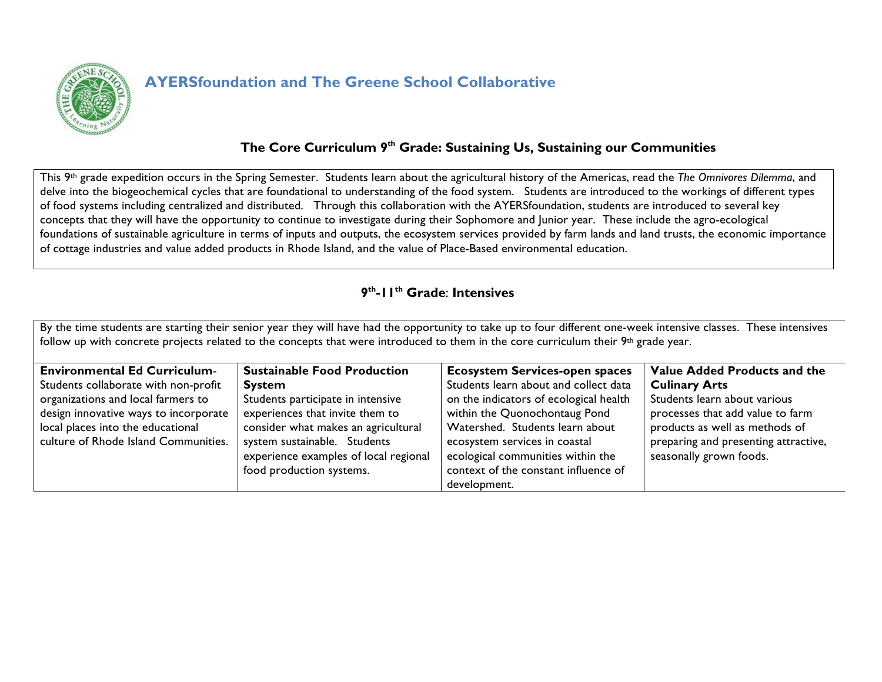

# **AYERSfoundation and The Greene School Collaborative**

## **The Core Curriculum 9th Grade: Sustaining Us, Sustaining our Communities**

This 9th grade expedition occurs in the Spring Semester. Students learn about the agricultural history of the Americas, read the *The Omnivores Dilemma*, and delve into the biogeochemical cycles that are foundational to understanding of the food system. Students are introduced to the workings of different types of food systems including centralized and distributed. Through this collaboration with the AYERSfoundation, students are introduced to several key concepts that they will have the opportunity to continue to investigate during their Sophomore and Junior year. These include the agro-ecological foundations of sustainable agriculture in terms of inputs and outputs, the ecosystem services provided by farm lands and land trusts, the economic importance of cottage industries and value added products in Rhode Island, and the value of Place-Based environmental education.

#### **9th-11th Grade**: **Intensives**

By the time students are starting their senior year they will have had the opportunity to take up to four different one-week intensive classes. These intensives follow up with concrete projects related to the concepts that were introduced to them in the core curriculum their 9th grade year.

| <b>Environmental Ed Curriculum-</b>   | <b>Sustainable Food Production</b>    | <b>Ecosystem Services-open spaces</b>  | Value Added Products and the         |
|---------------------------------------|---------------------------------------|----------------------------------------|--------------------------------------|
| Students collaborate with non-profit  | <b>System</b>                         | Students learn about and collect data  | <b>Culinary Arts</b>                 |
| organizations and local farmers to    | Students participate in intensive     | on the indicators of ecological health | Students learn about various         |
| design innovative ways to incorporate | experiences that invite them to       | within the Quonochontaug Pond          | processes that add value to farm     |
| local places into the educational     | consider what makes an agricultural   | Watershed. Students learn about        | products as well as methods of       |
| culture of Rhode Island Communities.  | system sustainable. Students          | ecosystem services in coastal          | preparing and presenting attractive, |
|                                       | experience examples of local regional | ecological communities within the      | seasonally grown foods.              |
|                                       | food production systems.              | context of the constant influence of   |                                      |
|                                       |                                       | development.                           |                                      |